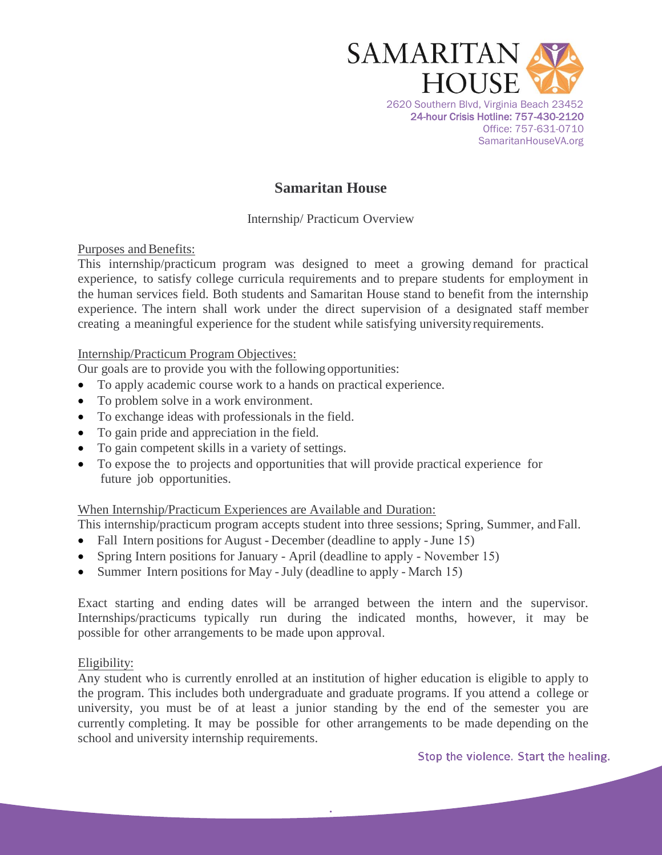

# **Samaritan House**

Internship/ Practicum Overview

Purposes and Benefits:

This internship/practicum program was designed to meet a growing demand for practical experience, to satisfy college curricula requirements and to prepare students for employment in the human services field. Both students and Samaritan House stand to benefit from the internship experience. The intern shall work under the direct supervision of a designated staff member creating a meaningful experience for the student while satisfying university requirements.

## Internship/Practicum Program Objectives:

Our goals are to provide you with the following opportunities:

- To apply academic course work to a hands on practical experience.
- To problem solve in a work environment.
- To exchange ideas with professionals in the field.
- To gain pride and appreciation in the field.
- To gain competent skills in a variety of settings.
- To expose the to projects and opportunities that will provide practical experience for future job opportunities.

# When Internship/Practicum Experiences are Available and Duration:

This internship/practicum program accepts student into three sessions; Spring, Summer, and Fall.

- Fall Intern positions for August December (deadline to apply June 15)
- Spring Intern positions for January April (deadline to apply November 15)
- Summer Intern positions for May July (deadline to apply March 15)

Exact starting and ending dates will be arranged between the intern and the supervisor. Internships/practicums typically run during the indicated months, however, it may be possible for other arrangements to be made upon approval.

#### Eligibility:

Any student who is currently enrolled at an institution of higher education is eligible to apply to the program. This includes both undergraduate and graduate programs. If you attend a college or university, you must be of at least a junior standing by the end of the semester you are currently completing. It may be possible for other arrangements to be made depending on the school and university internship requirements.

**.**

Stop the violence. Start the healing.